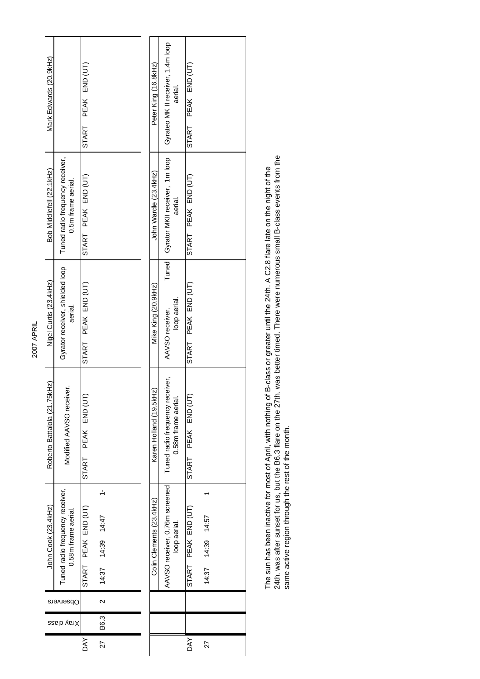| L<br>Ξ<br>٢ |  |
|-------------|--|
|             |  |
|             |  |

| Mark Edwards (20.9kHz)       |                                                       | START PEAK END (UT)   |                                        |  | Peter King (16.8kHz)     | Gyrateo MK II receiver, 1.4m loop | aerial.             | START PEAK END (UT) |
|------------------------------|-------------------------------------------------------|-----------------------|----------------------------------------|--|--------------------------|-----------------------------------|---------------------|---------------------|
| Bob Middlefell (22.1kHz)     | Tuned radio frequency receiver,<br>0.5m frame aerial. | START PEAK END (UT)   |                                        |  | John Wardle (23.4kHz)    | Gyrator MKII receiver, 1m loop    | aerial.             | START PEAK END (UT) |
| Nigel Curtis (23.4kHz)       | Gyrator receiver, shielded loop<br>aerial.            | START PEAK END (UT)   |                                        |  | Mike King (20.9kHz)      | Tuned<br>AAVSO receiver.          | loop aerial         | START PEAK END (UT) |
| Roberto Battaiola (21.75kHz) | i<br>S<br>Modified AAVSO receiv                       | PEAK END (UT<br>START |                                        |  | Karen Holland (19.5kHz)  | Tuned radio frequency receiver,   | 0.58m frame aerial. | START PEAK END (UT) |
| John Cook (23.4kHz)          | Tuned radio frequency receiver,<br>0.58m frame aerial | START PEAK END (UT)   | $\overline{ }$<br>14:39 14:47<br>14:37 |  | Colin Clements (23.4kHz) | AAVSO receiver, 0.76m screened    | loop aerial.        | START PEAK END (UT) |
|                              | Observers                                             |                       | $\sim$                                 |  |                          |                                   |                     |                     |
|                              | Xray class                                            |                       | B6.3                                   |  |                          |                                   |                     |                     |
|                              |                                                       | <b>DAY</b>            | 27                                     |  |                          |                                   |                     | DAY                 |

The sun has been inactive for most of April, with nothing of B-class or greater until the 24th. A C2.8 flare late on the night of the<br>24th. was after sunset for us, but the B6.3 flare on the 27th. was better timed. There w 24th. was after sunset for us, but the B6.3 flare on the 27th. was better timed. There were numerous small B-class events from the The sun has been inactive for most of April, with nothing of B-class or greater until the 24th. A C2.8 flare late on the night of the same active region through the rest of the month.

27 14:37 14:39 14:57 1

27

14:37 14:39 14:57

 $\overline{a}$